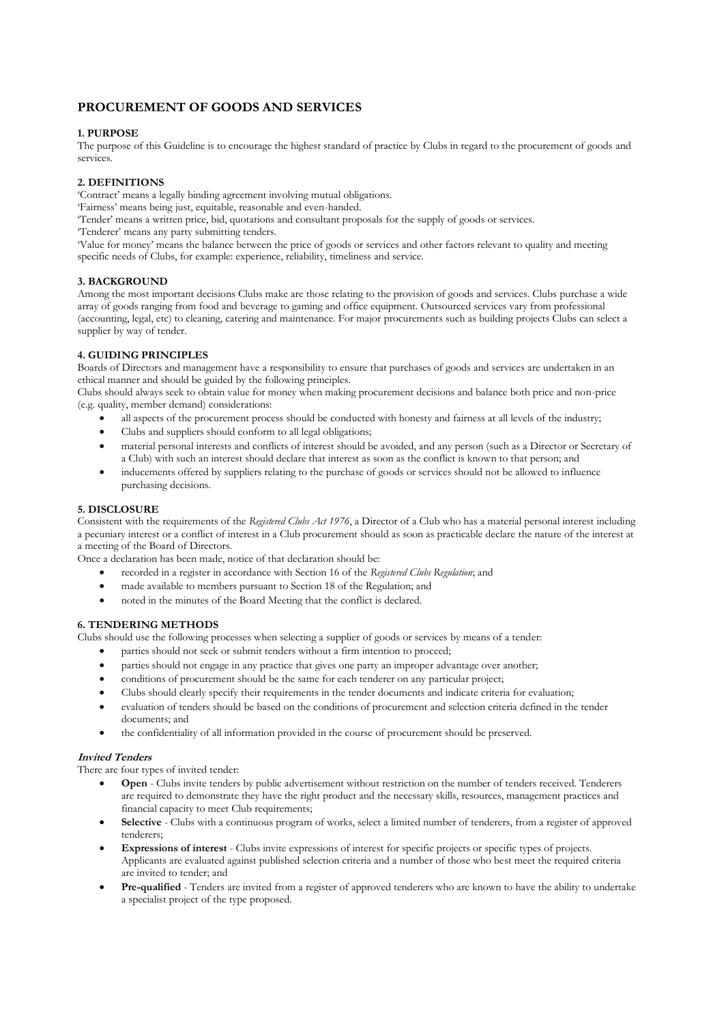# **PROCUREMENT OF GOODS AND SERVICES**

### **1. PURPOSE**

The purpose of this Guideline is to encourage the highest standard of practice by Clubs in regard to the procurement of goods and services.

## **2. DEFINITIONS**

'Contract' means a legally binding agreement involving mutual obligations.

- 'Fairness' means being just, equitable, reasonable and even-handed.
- 'Tender' means a written price, bid, quotations and consultant proposals for the supply of goods or services.

'Tenderer' means any party submitting tenders.

'Value for money' means the balance between the price of goods or services and other factors relevant to quality and meeting specific needs of Clubs, for example: experience, reliability, timeliness and service.

### **3. BACKGROUND**

Among the most important decisions Clubs make are those relating to the provision of goods and services. Clubs purchase a wide array of goods ranging from food and beverage to gaming and office equipment. Outsourced services vary from professional (accounting, legal, etc) to cleaning, catering and maintenance. For major procurements such as building projects Clubs can select a supplier by way of tender.

### **4. GUIDING PRINCIPLES**

Boards of Directors and management have a responsibility to ensure that purchases of goods and services are undertaken in an ethical manner and should be guided by the following principles.

Clubs should always seek to obtain value for money when making procurement decisions and balance both price and non-price (e.g. quality, member demand) considerations:

- all aspects of the procurement process should be conducted with honesty and fairness at all levels of the industry;
- Clubs and suppliers should conform to all legal obligations;
- material personal interests and conflicts of interest should be avoided, and any person (such as a Director or Secretary of a Club) with such an interest should declare that interest as soon as the conflict is known to that person; and
- inducements offered by suppliers relating to the purchase of goods or services should not be allowed to influence purchasing decisions.

### **5. DISCLOSURE**

Consistent with the requirements of the *Registered Clubs Act 1976*, a Director of a Club who has a material personal interest including a pecuniary interest or a conflict of interest in a Club procurement should as soon as practicable declare the nature of the interest at a meeting of the Board of Directors.

Once a declaration has been made, notice of that declaration should be:

- recorded in a register in accordance with Section 16 of the *Registered Clubs Regulation*; and
- made available to members pursuant to Section 18 of the Regulation; and
- noted in the minutes of the Board Meeting that the conflict is declared.

### **6. TENDERING METHODS**

Clubs should use the following processes when selecting a supplier of goods or services by means of a tender:

- parties should not seek or submit tenders without a firm intention to proceed;
- parties should not engage in any practice that gives one party an improper advantage over another;
- conditions of procurement should be the same for each tenderer on any particular project;
- Clubs should clearly specify their requirements in the tender documents and indicate criteria for evaluation;
- evaluation of tenders should be based on the conditions of procurement and selection criteria defined in the tender documents; and
- the confidentiality of all information provided in the course of procurement should be preserved.

### **Invited Tenders**

There are four types of invited tender:

- **Open**  Clubs invite tenders by public advertisement without restriction on the number of tenders received. Tenderers are required to demonstrate they have the right product and the necessary skills, resources, management practices and financial capacity to meet Club requirements;
- **Selective**  Clubs with a continuous program of works, select a limited number of tenderers, from a register of approved tenderers;
- **Expressions of interest**  Clubs invite expressions of interest for specific projects or specific types of projects. Applicants are evaluated against published selection criteria and a number of those who best meet the required criteria are invited to tender; and
- **Pre-qualified**  Tenders are invited from a register of approved tenderers who are known to have the ability to undertake a specialist project of the type proposed.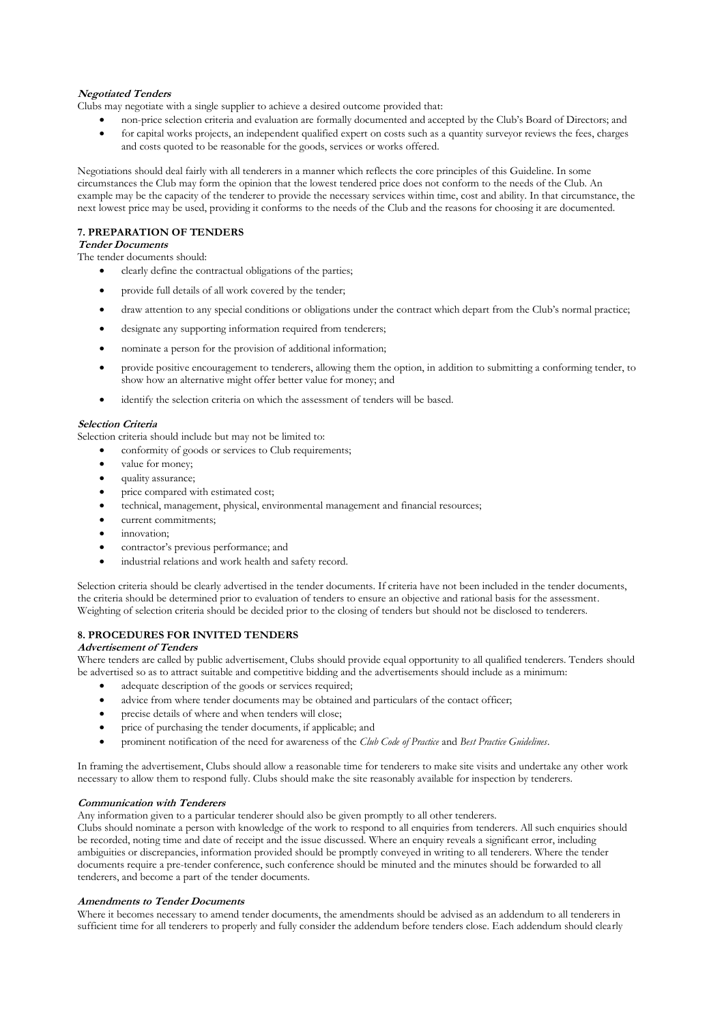### **Negotiated Tenders**

Clubs may negotiate with a single supplier to achieve a desired outcome provided that:

- non-price selection criteria and evaluation are formally documented and accepted by the Club's Board of Directors; and
- for capital works projects, an independent qualified expert on costs such as a quantity surveyor reviews the fees, charges and costs quoted to be reasonable for the goods, services or works offered.

Negotiations should deal fairly with all tenderers in a manner which reflects the core principles of this Guideline. In some circumstances the Club may form the opinion that the lowest tendered price does not conform to the needs of the Club. An example may be the capacity of the tenderer to provide the necessary services within time, cost and ability. In that circumstance, the next lowest price may be used, providing it conforms to the needs of the Club and the reasons for choosing it are documented.

#### **7. PREPARATION OF TENDERS**

## **Tender Documents**

The tender documents should:

- clearly define the contractual obligations of the parties;
- provide full details of all work covered by the tender;
- draw attention to any special conditions or obligations under the contract which depart from the Club's normal practice;
- designate any supporting information required from tenderers;
- nominate a person for the provision of additional information;
- provide positive encouragement to tenderers, allowing them the option, in addition to submitting a conforming tender, to show how an alternative might offer better value for money; and
- identify the selection criteria on which the assessment of tenders will be based.

### **Selection Criteria**

Selection criteria should include but may not be limited to:

- conformity of goods or services to Club requirements;
- value for money;
- quality assurance;
- price compared with estimated cost:
- technical, management, physical, environmental management and financial resources;
- current commitments;
- innovation;
- contractor's previous performance; and
- industrial relations and work health and safety record.

Selection criteria should be clearly advertised in the tender documents. If criteria have not been included in the tender documents, the criteria should be determined prior to evaluation of tenders to ensure an objective and rational basis for the assessment. Weighting of selection criteria should be decided prior to the closing of tenders but should not be disclosed to tenderers.

### **8. PROCEDURES FOR INVITED TENDERS**

#### **Advertisement of Tenders**

Where tenders are called by public advertisement, Clubs should provide equal opportunity to all qualified tenderers. Tenders should be advertised so as to attract suitable and competitive bidding and the advertisements should include as a minimum:

- adequate description of the goods or services required;
- advice from where tender documents may be obtained and particulars of the contact officer;
- precise details of where and when tenders will close:
- price of purchasing the tender documents, if applicable; and
- prominent notification of the need for awareness of the *Club Code of Practice* and *Best Practice Guidelines*.

In framing the advertisement, Clubs should allow a reasonable time for tenderers to make site visits and undertake any other work necessary to allow them to respond fully. Clubs should make the site reasonably available for inspection by tenderers.

#### **Communication with Tenderers**

Any information given to a particular tenderer should also be given promptly to all other tenderers.

Clubs should nominate a person with knowledge of the work to respond to all enquiries from tenderers. All such enquiries should be recorded, noting time and date of receipt and the issue discussed. Where an enquiry reveals a significant error, including ambiguities or discrepancies, information provided should be promptly conveyed in writing to all tenderers. Where the tender documents require a pre-tender conference, such conference should be minuted and the minutes should be forwarded to all tenderers, and become a part of the tender documents.

#### **Amendments to Tender Documents**

Where it becomes necessary to amend tender documents, the amendments should be advised as an addendum to all tenderers in sufficient time for all tenderers to properly and fully consider the addendum before tenders close. Each addendum should clearly